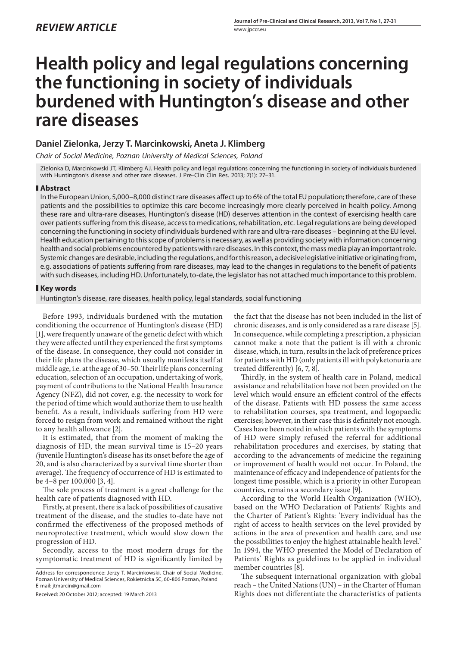# **Health policy and legal regulations concerning the functioning in society of individuals burdened with Huntington's disease and other rare diseases**

## **Daniel Zielonka, Jerzy T. Marcinkowski, Aneta J. Klimberg**

*Chair of Social Medicine, Poznan University of Medical Sciences, Poland*

Zielonka D, Marcinkowski JT, Klimberg AJ. Health policy and legal regulations concerning the functioning in society of individuals burdened with Huntington's disease and other rare diseases. J Pre-Clin Clin Res. 2013; 7(1): 27–31.

### **Abstract**

In the European Union, 5,000–8,000 distinct rare diseases affect up to 6% of the total EU population; therefore, care of these patients and the possibilities to optimize this care become increasingly more clearly perceived in health policy. Among these rare and ultra-rare diseases, Huntington's disease (HD) deserves attention in the context of exercising health care over patients suffering from this disease, access to medications, rehabilitation, etc. Legal regulations are being developed concerning the functioning in society of individuals burdened with rare and ultra-rare diseases – beginning at the EU level. Health education pertaining to this scope of problems is necessary, as well as providing society with information concerning health and social problems encountered by patients with rare diseases. In this context, the mass media play an important role. Systemic changes are desirable, including the regulations, and for this reason, a decisive legislative initiative originating from, e.g. associations of patients suffering from rare diseases, may lead to the changes in regulations to the benefit of patients with such diseases, including HD. Unfortunately, to-date, the legislator has not attached much importance to this problem.

### **Key words**

Huntington's disease, rare diseases, health policy, legal standards, social functioning

Before 1993, individuals burdened with the mutation conditioning the occurrence of Huntington's disease (HD) [1], were frequently unaware of the genetic defect with which they were affected until they experienced the first symptoms of the disease. In consequence, they could not consider in their life plans the disease, which usually manifests itself at middle age, i.e. at the age of 30–50. Their life plans concerning education, selection of an occupation, undertaking of work, payment of contributions to the National Health Insurance Agency (NFZ), did not cover, e.g. the necessity to work for the period of time which would authorize them to use health benefit. As a result, individuals suffering from HD were forced to resign from work and remained without the right to any health allowance [2].

It is estimated, that from the moment of making the diagnosis of HD, the mean survival time is 15–20 years *(*juvenile Huntington's disease has its onset before the age of 20, and is also characterized by a survival time shorter than average). The frequency of occurrence of HD is estimated to be 4–8 per 100,000 [3, 4].

The sole process of treatment is a great challenge for the health care of patients diagnosed with HD.

Firstly, at present, there is a lack of possibilities of causative treatment of the disease, and the studies to-date have not confirmed the effectiveness of the proposed methods of neuroprotective treatment, which would slow down the progression of HD.

Secondly, access to the most modern drugs for the symptomatic treatment of HD is significantly limited by

Received: 20 October 2012; accepted: 19 March 2013

the fact that the disease has not been included in the list of chronic diseases, and is only considered as a rare disease [5]. In consequence, while completing a prescription, a physician cannot make a note that the patient is ill with a chronic disease, which, in turn, results in the lack of preference prices for patients with HD (only patients ill with polyketonuria are treated differently) [6, 7, 8].

Thirdly, in the system of health care in Poland, medical assistance and rehabilitation have not been provided on the level which would ensure an efficient control of the effects of the disease. Patients with HD possess the same access to rehabilitation courses, spa treatment, and logopaedic exercises; however, in their case this is definitely not enough. Cases have been noted in which patients with the symptoms of HD were simply refused the referral for additional rehabilitation procedures and exercises, by stating that according to the advancements of medicine the regaining or improvement of health would not occur. In Poland, the maintenance of efficacy and independence of patients for the longest time possible, which is a priority in other European countries, remains a secondary issue [9].

According to the World Health Organization (WHO), based on the WHO Declaration of Patients' Rights and the Charter of Patient's Rights: 'Every individual has the right of access to health services on the level provided by actions in the area of prevention and health care, and use the possibilities to enjoy the highest attainable health level.' In 1994, the WHO presented the Model of Declaration of Patients' Rights as guidelines to be applied in individual member countries [8].

The subsequent international organization with global reach – the United Nations (UN) – in the Charter of Human Rights does not differentiate the characteristics of patients

Address for correspondence: Jerzy T. Marcinkowski, Chair of Social Medicine, Poznan University of Medical Sciences, Rokietnicka 5C, 60-806 Poznan, Poland E-mail: jtmarcin@gmail.com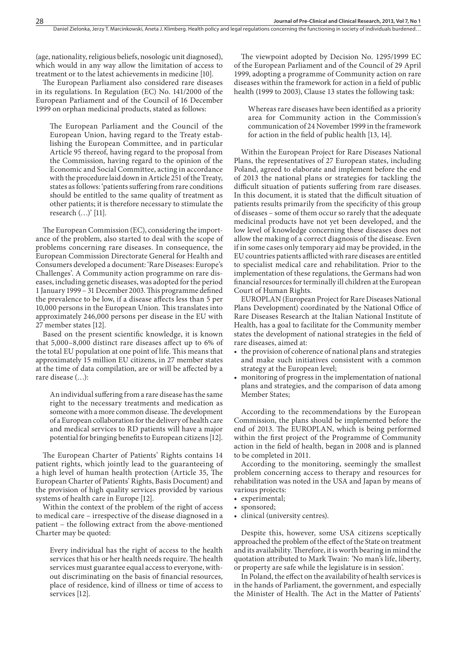(age, nationality, religious beliefs, nosologic unit diagnosed), which would in any way allow the limitation of access to treatment or to the latest achievements in medicine [10].

The European Parliament also considered rare diseases in its regulations. In Regulation (EC) No. 141/2000 of the European Parliament and of the Council of 16 December 1999 on orphan medicinal products, stated as follows:

The European Parliament and the Council of the European Union, having regard to the Treaty establishing the European Committee, and in particular Article 95 thereof, having regard to the proposal from the Commission, having regard to the opinion of the Economic and Social Committee, acting in accordance with the procedure laid down in Article 251 of the Treaty, states as follows: 'patients suffering from rare conditions should be entitled to the same quality of treatment as other patients; it is therefore necessary to stimulate the research (…)' [11].

The European Commission (EC), considering the importance of the problem, also started to deal with the scope of problems concerning rare diseases. In consequence, the European Commission Directorate General for Health and Consumers developed a document: 'Rare Diseases: Europe's Challenges'. A Community action programme on rare diseases, including genetic diseases, was adopted for the period 1 January 1999 – 31 December 2003. This programme defined the prevalence to be low, if a disease affects less than 5 per 10,000 persons in the European Union. This translates into approximately 246,000 persons per disease in the EU with 27 member states [12].

Based on the present scientific knowledge, it is known that 5,000–8,000 distinct rare diseases affect up to 6% of the total EU population at one point of life. This means that approximately 15 million EU citizens, in 27 member states at the time of data compilation, are or will be affected by a rare disease (…):

An individual suffering from a rare disease has the same right to the necessary treatments and medication as someone with a more common disease. The development of a European collaboration for the delivery of health care and medical services to RD patients will have a major potential for bringing benefits to European citizens [12].

The European Charter of Patients' Rights contains 14 patient rights, which jointly lead to the guaranteeing of a high level of human health protection (Article 35, The European Charter of Patients' Rights, Basis Document) and the provision of high quality services provided by various systems of health care in Europe [12].

Within the context of the problem of the right of access to medical care – irrespective of the disease diagnosed in a patient – the following extract from the above-mentioned Charter may be quoted:

Every individual has the right of access to the health services that his or her health needs require. The health services must guarantee equal access to everyone, without discriminating on the basis of financial resources, place of residence, kind of illness or time of access to services [12].

The viewpoint adopted by Decision No. 1295/1999 EC of the European Parliament and of the Council of 29 April 1999, adopting a programme of Community action on rare diseases within the framework for action in a field of public health (1999 to 2003), Clause 13 states the following task:

Whereas rare diseases have been identified as a priority area for Community action in the Commission's communication of 24 November 1999 in the framework for action in the field of public health [13, 14].

Within the European Project for Rare Diseases National Plans, the representatives of 27 European states, including Poland, agreed to elaborate and implement before the end of 2013 the national plans or strategies for tackling the difficult situation of patients suffering from rare diseases. In this document, it is stated that the difficult situation of patients results primarily from the specificity of this group of diseases – some of them occur so rarely that the adequate medicinal products have not yet been developed, and the low level of knowledge concerning these diseases does not allow the making of a correct diagnosis of the disease. Even if in some cases only temporary aid may be provided, in the EU countries patients afflicted with rare diseases are entitled to specialist medical care and rehabilitation. Prior to the implementation of these regulations, the Germans had won financial resources for terminally ill children at the European Court of Human Rights.

EUROPLAN (European Project for Rare Diseases National Plans Development) coordinated by the National Office of Rare Diseases Research at the Italian National Institute of Health, has a goal to facilitate for the Community member states the development of national strategies in the field of rare diseases, aimed at:

- the provision of coherence of national plans and strategies and make such initiatives consistent with a common strategy at the European level;
- monitoring of progress in the implementation of national plans and strategies, and the comparison of data among Member States;

According to the recommendations by the European Commission, the plans should be implemented before the end of 2013. The EUROPLAN, which is being performed within the first project of the Programme of Community action in the field of health, began in 2008 and is planned to be completed in 2011.

According to the monitoring, seemingly the smallest problem concerning access to therapy and resources for rehabilitation was noted in the USA and Japan by means of various projects:

- experimental;
- sponsored;
- • clinical (university centres).

Despite this, however, some USA citizens sceptically approached the problem of the effect of the State on treatment and its availability. Therefore, it is worth bearing in mind the quotation attributed to Mark Twain: *'*No man's life, liberty, or property are safe while the legislature is in session*'.*

In Poland, the effect on the availability of health services is in the hands of Parliament, the government, and especially the Minister of Health. The Act in the Matter of Patients'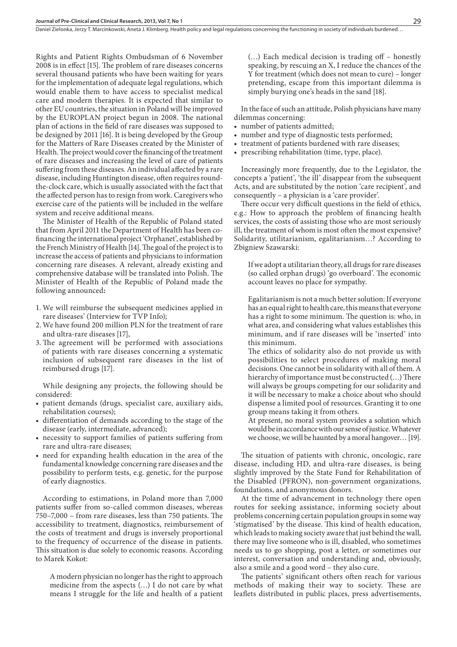Daniel Zielonka, Jerzy T. Marcinkowski, Aneta J. Klimberg. Health policy and legal regulations concerning the functioning in society of individuals burdened..

Rights and Patient Rights Ombudsman of 6 November 2008 is in effect [15]. The problem of rare diseases concerns several thousand patients who have been waiting for years for the implementation of adequate legal regulations, which would enable them to have access to specialist medical care and modern therapies. It is expected that similar to other EU countries, the situation in Poland will be improved by the EUROPLAN project begun in 2008. The national plan of actions in the field of rare diseases was supposed to be designed by 2011 [16]. It is being developed by the Group for the Matters of Rare Diseases created by the Minister of Health. The project would cover the financing of the treatment of rare diseases and increasing the level of care of patients suffering from these diseases. An individual affected by a rare disease, including Huntington disease, often requires roundthe-clock care, which is usually associated with the fact that the affected person has to resign from work. Caregivers who exercise care of the patients will be included in the welfare system and receive additional means.

The Minister of Health of the Republic of Poland stated that from April 2011 the Department of Health has been cofinancing the international project 'Orphanet', established by the French Ministry of Health [14]. The goal of the project is to increase the access of patients and physicians to information concerning rare diseases. A relevant, already existing and comprehensive database will be translated into Polish. The Minister of Health of the Republic of Poland made the following announced**:**

- 1. We will reimburse the subsequent medicines applied in rare diseases' (Interview for TVP Info);
- 2. We have found 200 million PLN for the treatment of rare and ultra-rare diseases [17],
- 3. The agreement will be performed with associations of patients with rare diseases concerning a systematic inclusion of subsequent rare diseases in the list of reimbursed drugs [17].

While designing any projects, the following should be considered:

- patient demands (drugs, specialist care, auxiliary aids, rehabilitation courses);
- • differentiation of demands according to the stage of the disease (early, intermediate, advanced);
- necessity to support families of patients suffering from rare and ultra-rare diseases;
- need for expanding health education in the area of the fundamental knowledge concerning rare diseases and the possibility to perform tests, e.g. genetic, for the purpose of early diagnostics.

According to estimations, in Poland more than 7,000 patients suffer from so-called common diseases, whereas 750–7,000 – from rare diseases, less than 750 patients. The accessibility to treatment, diagnostics, reimbursement of the costs of treatment and drugs is inversely proportional to the frequency of occurrence of the disease in patients. This situation is due solely to economic reasons. According to Marek Kokot:

A modern physician no longer has the right to approach medicine from the aspects (…) I do not care by what means I struggle for the life and health of a patient (…) Each medical decision is trading off – honestly speaking, by rescuing an X, I reduce the chances of the Y for treatment (which does not mean to cure) – longer pretending, escape from this important dilemma is simply burying one's heads in the sand [18].

In the face of such an attitude, Polish physicians have many dilemmas concerning:

- number of patients admitted;
- number and type of diagnostic tests performed;
- treatment of patients burdened with rare diseases;
- prescribing rehabilitation (time, type, place).

Increasingly more frequently, due to the Legislator, the concepts a 'patient', 'the ill' disappear from the subsequent Acts, and are substituted by the notion 'care recipient', and consequently – a physician is a 'care provider'.

There occur very difficult questions in the field of ethics, e.g.: How to approach the problem of financing health services, the costs of assisting those who are most seriously ill, the treatment of whom is most often the most expensive? Solidarity, utilitarianism, egalitarianism…? According to Zbigniew Szawarski:

If we adopt a utilitarian theory, all drugs for rare diseases (so called orphan drugs) 'go overboard'. The economic account leaves no place for sympathy.

Egalitarianism is not a much better solution: If everyone has an equal right to health care, this means that everyone has a right to some minimum. The question is: who, in what area, and considering what values establishes this minimum, and if rare diseases will be 'inserted' into this minimum.

The ethics of solidarity also do not provide us with possibilities to select procedures of making moral decisions. One cannot be in solidarity with all of them. A hierarchy of importance must be constructed (…) There will always be groups competing for our solidarity and it will be necessary to make a choice about who should dispense a limited pool of resources. Granting it to one group means taking it from others.

At present, no moral system provides a solution which would be in accordance with our sense of justice. Whatever we choose, we will be haunted by a moral hangover… [19].

The situation of patients with chronic, oncologic, rare disease, including HD, and ultra-rare diseases, is being slightly improved by the State Fund for Rehabilitation of the Disabled (PFRON), non-government organizations, foundations, and anonymous donors.

At the time of advancement in technology there open routes for seeking assistance, informing society about problems concerning certain population groups in some way 'stigmatised' by the disease. This kind of health education, which leads to making society aware that just behind the wall, there may live someone who is ill, disabled, who sometimes needs us to go shopping, post a letter, or sometimes our interest, conversation and understanding and, obviously, also a smile and a good word – they also cure.

The patients' significant others often reach for various methods of making their way to society. These are leaflets distributed in public places, press advertisements,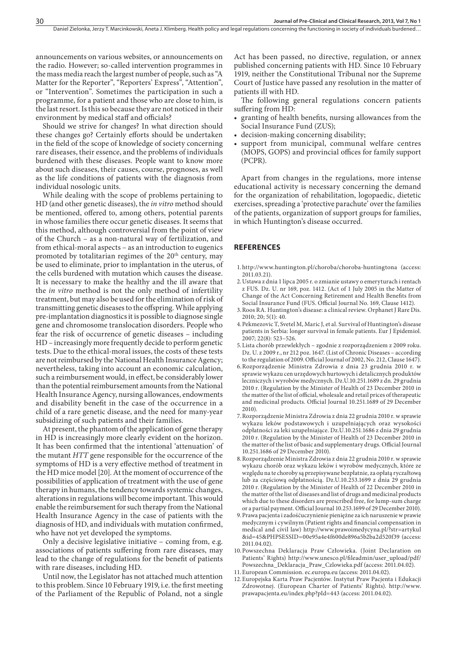announcements on various websites, or announcements on the radio. However; so-called intervention programmes in the mass media reach the largest number of people, such as "A Matter for the Reporter", "Reporters' Express", "Attention", or "Intervention". Sometimes the participation in such a programme, for a patient and those who are close to him, is the last resort. Is this so because they are not noticed in their environment by medical staff and officials?

Should we strive for changes? In what direction should these changes go? Certainly efforts should be undertaken in the field of the scope of knowledge of society concerning rare diseases, their essence, and the problems of individuals burdened with these diseases. People want to know more about such diseases, their causes, course, prognoses, as well as the life conditions of patients with the diagnosis from individual nosologic units.

While dealing with the scope of problems pertaining to HD (and other genetic diseases), the *in vitro* method should be mentioned, offered to, among others, potential parents in whose families there occur genetic diseases. It seems that this method, although controversial from the point of view of the Church – as a non-natural way of fertilization, and from ethical-moral aspects – as an introduction to eugenics promoted by totalitarian regimes of the 20<sup>th</sup> century, may be used to eliminate, prior to implantation in the uterus, of the cells burdened with mutation which causes the disease. It is necessary to make the healthy and the ill aware that the *in vitro* method is not the only method of infertility treatment, but may also be used for the elimination of risk of transmitting genetic diseases to the offspring. While applying pre-implantation diagnostics it is possible to diagnose single gene and chromosome translocation disorders. People who fear the risk of occurrence of genetic diseases – including HD – increasingly more frequently decide to perform genetic tests. Due to the ethical-moral issues, the costs of these tests are not reimbursed by the National Health Insurance Agency; nevertheless, taking into account an economic calculation, such a reimbursement would, in effect, be considerably lower than the potential reimbursement amounts from the National Health Insurance Agency, nursing allowances, endowments and disability benefit in the case of the occurrence in a child of a rare genetic disease, and the need for many-year subsidizing of such patients and their families.

At present, the phantom of the application of gene therapy in HD is increasingly more clearly evident on the horizon. It has been confirmed that the intentional 'attenuation' of the mutant *HTT* gene responsible for the occurrence of the symptoms of HD is a very effective method of treatment in the HD mice model [20]. At the moment of occurrence of the possibilities of application of treatment with the use of gene therapy in humans, the tendency towards systemic changes, alterations in regulations will become important. This would enable the reimbursement for such therapy from the National Health Insurance Agency in the case of patients with the diagnosis of HD, and individuals with mutation confirmed, who have not yet developed the symptoms.

Only a decisive legislative initiative – coming from, e.g. associations of patients suffering from rare diseases, may lead to the change of regulations for the benefit of patients with rare diseases, including HD.

Until now, the Legislator has not attached much attention to this problem. Since 10 February 1919, i.e. the first meeting of the Parliament of the Republic of Poland, not a single

Act has been passed, no directive, regulation, or annex published concerning patients with HD. Since 10 February 1919, neither the Constitutional Tribunal nor the Supreme Court of Justice have passed any resolution in the matter of patients ill with HD.

The following general regulations concern patients suffering from HD:

- • granting of health benefits, nursing allowances from the Social Insurance Fund (ZUS);
- decision-making concerning disability;
- support from municipal, communal welfare centres (MOPS, GOPS) and provincial offices for family support (PCPR).

Apart from changes in the regulations, more intense educational activity is necessary concerning the demand for the organization of rehabilitation, logopaedic, dietetic exercises, spreading a 'protective parachute' over the families of the patients, organization of support groups for families, in which Huntington's disease occurred.

#### **REFERENCES**

- 1.http://www.huntington.pl/choroba/choroba-huntingtona (access: 2011.03.21).
- 2.Ustawa z dnia 1 lipca 2005 r. o zmianie ustawy o emeryturach i rentach z FUS. Dz. U. nr 169, poz. 1412. (Act of 1 July 2005 in the Matter of Change of the Act Concerning Retirement and Health Benefits from Social Insurance Fund (FUS. Official Journal No. 169, Clause 1412).
- 3.Roos RA. Huntington's disease: a clinical review. Orphanet J Rare Dis. 2010; 20; 5(1): 40.
- 4.Pekmezovic T, Svetel M, Maric J, et al. Survival of Huntington's disease patients in Serbia: longer survival in female patients. Eur J Epidemiol. 2007; 22(8): 523–526.
- 5.Lista chorób przewlekłych zgodnie z rozporządzeniem z 2009 roku. Dz. U. z 2009 r., nr 212 poz. 1647. (List of Chronic Diseases – according to the regulation of 2009. Official Journal of 2002, No. 212, Clause 1647).
- 6.Rozporządzenie Ministra Zdrowia z dnia 23 grudnia 2010 r. w sprawie wykazu cen urzędowych hurtowych i detalicznych produktów leczniczych i wyrobów medycznych. Dz.U.10.251.1689 z dn. 29 grudnia 2010 r. (Regulation by the Minister of Health of 23 December 2010 in the matter of the list of official, wholesale and retail prices of therapeutic and medicinal products. Official Journal 10.251.1689 of 29 December 2010).
- 7.Rozporządzenie Ministra Zdrowia z dnia 22 grudnia 2010 r. w sprawie wykazu leków podstawowych i uzupełniających oraz wysokości odpłatności za leki uzupełniające. Dz.U.10.251.1686 z dnia 29 grudnia 2010 r. (Regulation by the Minister of Health of 23 December 2010 in the matter of the list of basic and supplementary drugs. Official Journal 10.251.1686 of 29 December 2010).
- 8.Rozporządzenie Ministra Zdrowia z dnia 22 grudnia 2010 r. w sprawie wykazu chorób oraz wykazu leków i wyrobów medycznych, które ze względu na te choroby są przepisywane bezpłatnie, za opłatą ryczałtową lub za częściową odpłatnością. Dz.U.10.253.1699 z dnia 29 grudnia 2010 r. (Regulation by the Minister of Health of 22 December 2010 in the matter of the list of diseases and list of drugs and medicinal products which due to these disorders are prescribed free, for lump-sum charge or a partial payment. Official Journal 10.253.1699 of 29 December 2010).
- 9.Prawa pacjenta i zadośćuczynienie pieniężne za ich naruszenie w prawie medycznym i cywilnym (Patient rights and financial compensation in medical and civil law) http://www.prawoimedycyna.pl/?str=artykul &id=45&PHPSESSID=00e95a4e4f600de896a5b2ba2d520f39 (access: 2011.04.02).
- 10.Powszechna Deklaracja Praw Człowieka. (Joint Declaration on Patients' Rights) http://www.unesco.pl/fileadmin/user\_upload/pdf/ Powszechna\_Deklaracja\_Praw\_Czlowieka.pdf (access: 2011.04.02).
- 11.European Commission. ec.europa.eu (access: 2011.04.02).
- 12.Europejska Karta Praw Pacjentów. Instytut Praw Pacjenta i Edukacji Zdrowotnej. (European Charter of Patients' Rights). http://www. prawapacjenta.eu/index.php?pId=443 (access: 2011.04.02).